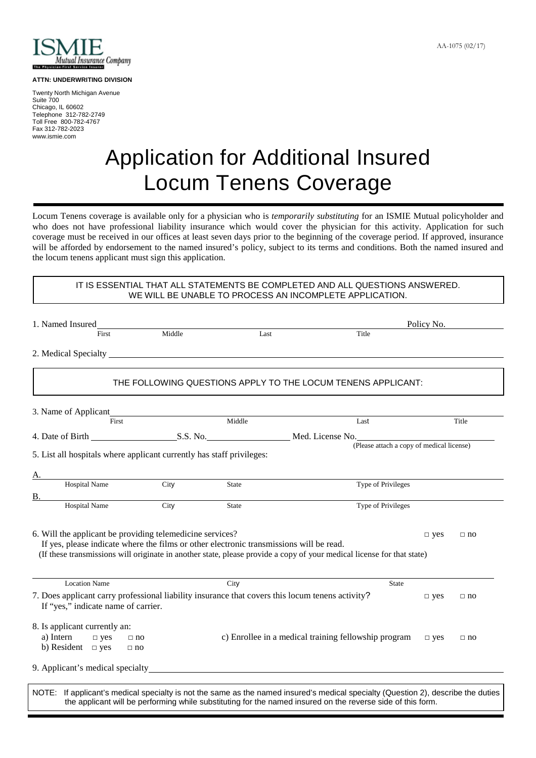

## **ATTN: UNDERWRITING DIVISION**

Twenty North Michigan Avenue Suite 700 Chicago, IL 60602 Telephone 312-782-2749 Toll Free 800-782-4767 Fax 312-782-2023 www.ismie.com

## Application for Additional Insured Locum Tenens Coverage

Locum Tenens coverage is available only for a physician who is *temporarily substituting* for an ISMIE Mutual policyholder and who does not have professional liability insurance which would cover the physician for this activity. Application for such coverage must be received in our offices at least seven days prior to the beginning of the coverage period. If approved, insurance will be afforded by endorsement to the named insured's policy, subject to its terms and conditions. Both the named insured and the locum tenens applicant must sign this application.

IT IS ESSENTIAL THAT ALL STATEMENTS BE COMPLETED AND ALL QUESTIONS ANSWERED. WE WILL BE UNABLE TO PROCESS AN INCOMPLETE APPLICATION.

|                                                                                                  |        |              |                                                                                                                        | Policy No.    |           |
|--------------------------------------------------------------------------------------------------|--------|--------------|------------------------------------------------------------------------------------------------------------------------|---------------|-----------|
| First                                                                                            | Middle | Last         | Title                                                                                                                  |               |           |
|                                                                                                  |        |              |                                                                                                                        |               |           |
|                                                                                                  |        |              | THE FOLLOWING QUESTIONS APPLY TO THE LOCUM TENENS APPLICANT:                                                           |               |           |
|                                                                                                  |        |              |                                                                                                                        |               |           |
| 3. Name of Applicant<br>First                                                                    |        | Middle       | Last                                                                                                                   |               | Title     |
|                                                                                                  |        |              | 4. Date of Birth S.S. No. S.S. No. Med. License No. (Please attach a copy of medical license)                          |               |           |
|                                                                                                  |        |              |                                                                                                                        |               |           |
| 5. List all hospitals where applicant currently has staff privileges:                            |        |              |                                                                                                                        |               |           |
| А.                                                                                               |        |              |                                                                                                                        |               |           |
| <b>Hospital Name</b>                                                                             | City   | <b>State</b> | Type of Privileges                                                                                                     |               |           |
|                                                                                                  |        |              |                                                                                                                        |               |           |
|                                                                                                  |        |              |                                                                                                                        |               |           |
| <b>Hospital Name</b>                                                                             | City   | <b>State</b> | Type of Privileges                                                                                                     |               |           |
|                                                                                                  |        |              |                                                                                                                        |               |           |
| B.<br>6. Will the applicant be providing telemedicine services?                                  |        |              |                                                                                                                        | $\square$ yes | $\Box$ no |
| If yes, please indicate where the films or other electronic transmissions will be read.          |        |              |                                                                                                                        |               |           |
|                                                                                                  |        |              | (If these transmissions will originate in another state, please provide a copy of your medical license for that state) |               |           |
|                                                                                                  |        |              |                                                                                                                        |               |           |
| <b>Location Name</b>                                                                             |        | City         | <b>State</b>                                                                                                           |               |           |
| 7. Does applicant carry professional liability insurance that covers this locum tenens activity? |        |              |                                                                                                                        | $\square$ yes | $\Box$ no |
| If "yes," indicate name of carrier.                                                              |        |              |                                                                                                                        |               |           |
|                                                                                                  |        |              |                                                                                                                        |               |           |
| 8. Is applicant currently an:                                                                    |        |              |                                                                                                                        |               | $\Box$ no |
| a) Intern<br>$\Box$ yes<br>$\Box$ no<br>b) Resident $\Box$ yes<br>$\Box$ no                      |        |              | c) Enrollee in a medical training fellowship program                                                                   | $\square$ yes |           |
| 9. Applicant's medical specialty                                                                 |        |              |                                                                                                                        |               |           |